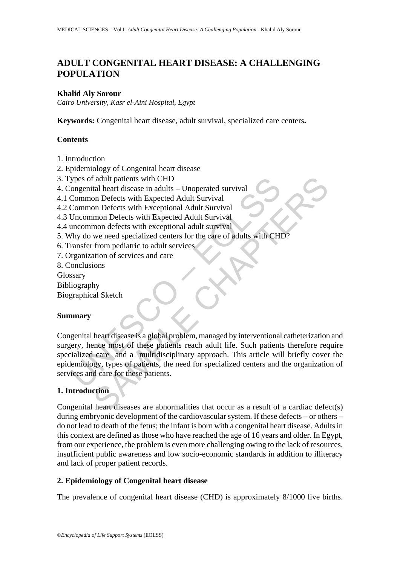# **ADULT CONGENITAL HEART DISEASE: A CHALLENGING POPULATION**

#### **Khalid Aly Sorour**

*Cairo University, Kasr el-Aini Hospital, Egypt* 

**Keywords:** Congenital heart disease, adult survival, specialized care centers**.** 

#### **Contents**

- 1. Introduction
- 2. Epidemiology of Congenital heart disease
- 3. Types of adult patients with CHD
- 4. Congenital heart disease in adults Unoperated survival
- 4.1 Common Defects with Expected Adult Survival
- 4.2 Common Defects with Exceptional Adult Survival
- 4.3 Uncommon Defects with Expected Adult Survival
- 4.4 uncommon defects with exceptional adult survival
- 5. Why do we need specialized centers for the care of adults with CHD?
- 6. Transfer from pediatric to adult services
- 7. Organization of services and care
- 8. Conclusions

Glossary

Bibliography

Biographical Sketch

#### **Summary**

Solution and the Universal state of the particle and the medical common Defects with Expected Adult Survival<br>Common Defects with Expected Adult Survival<br>Uncommon Defects with Expected Adult Survival<br>Uncommon Defects with E Fallent disease in adults – Unoperated survival<br>
and heart disease in adults – Unoperated survival<br>
on Defects with Expected Adult Survival<br>
mon Defects with Expected Adult Survival<br>
mon Defects with exceptional Adult Surv Congenital heart disease is a global problem, managed by interventional catheterization and surgery, hence most of these patients reach adult life. Such patients therefore require specialized care and a multidisciplinary approach. This article will briefly cover the epidemiology, types of patients, the need for specialized centers and the organization of services and care for these patients.

## **1. Introduction**

Congenital heart diseases are abnormalities that occur as a result of a cardiac defect(s) during embryonic development of the cardiovascular system. If these defects – or others – do not lead to death of the fetus; the infant is born with a congenital heart disease. Adults in this context are defined as those who have reached the age of 16 years and older. In Egypt, from our experience, the problem is even more challenging owing to the lack of resources, insufficient public awareness and low socio-economic standards in addition to illiteracy and lack of proper patient records.

#### **2. Epidemiology of Congenital heart disease**

The prevalence of congenital heart disease (CHD) is approximately 8/1000 live births.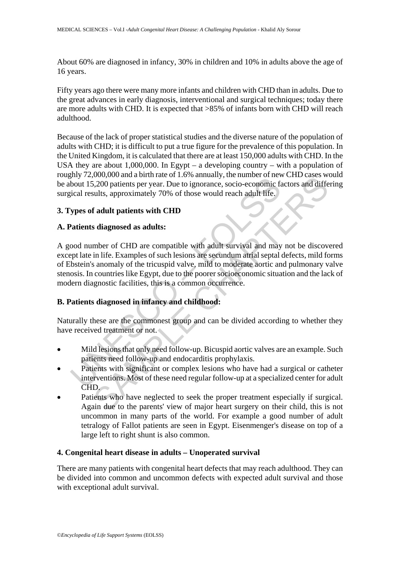About 60% are diagnosed in infancy, 30% in children and 10% in adults above the age of 16 years.

Fifty years ago there were many more infants and children with CHD than in adults. Due to the great advances in early diagnosis, interventional and surgical techniques; today there are more adults with CHD. It is expected that >85% of infants born with CHD will reach adulthood.

Because of the lack of proper statistical studies and the diverse nature of the population of adults with CHD; it is difficult to put a true figure for the prevalence of this population. In the United Kingdom, it is calculated that there are at least 150,000 adults with CHD. In the USA they are about 1,000,000. In Egypt – a developing country – with a population of roughly 72,000,000 and a birth rate of 1.6% annually, the number of new CHD cases would be about 15,200 patients per year. Due to ignorance, socio-economic factors and differing surgical results, approximately 70% of those would reach adult life.

### **3. Types of adult patients with CHD**

### **A. Patients diagnosed as adults:**

May 12,000 patients of ratival or rive and many, the number of reversible<br>bout 15,200 patients per year. Due to ignorance, socio-economic field results, approximately 70% of those would reach adult life.<br> **Spes of adult pa** boot, our an onint at or it.o.w anniany, the manned on the content of the sease we<br>consider that is a proximately 70% of those would reach adult life.<br> **Fadult patients with CHD**<br> **Subgrapised as adults:**<br> **Subgrapised as** A good number of CHD are compatible with adult survival and may not be discovered except late in life. Examples of such lesions are secundum atrial septal defects, mild forms of Ebstein's anomaly of the tricuspid valve, mild to moderate aortic and pulmonary valve stenosis. In countries like Egypt, due to the poorer socioeconomic situation and the lack of modern diagnostic facilities, this is a common occurrence.

## **B. Patients diagnosed in infancy and childhood:**

Naturally these are the commonest group and can be divided according to whether they have received treatment or not.

- Mild lesions that only need follow-up. Bicuspid aortic valves are an example. Such patients need follow-up and endocarditis prophylaxis.
- Patients with significant or complex lesions who have had a surgical or catheter interventions. Most of these need regular follow-up at a specialized center for adult  $CHD$ .
- Patients who have neglected to seek the proper treatment especially if surgical. Again due to the parents' view of major heart surgery on their child, this is not uncommon in many parts of the world. For example a good number of adult tetralogy of Fallot patients are seen in Egypt. Eisenmenger's disease on top of a large left to right shunt is also common.

#### **4. Congenital heart disease in adults – Unoperated survival**

There are many patients with congenital heart defects that may reach adulthood. They can be divided into common and uncommon defects with expected adult survival and those with exceptional adult survival.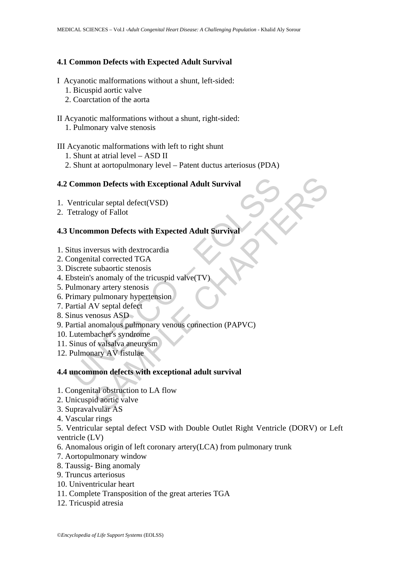#### **4.1 Common Defects with Expected Adult Survival**

### I Acyanotic malformations without a shunt, left-sided:

- 1. Bicuspid aortic valve
- 2. Coarctation of the aorta

#### II Acyanotic malformations without a shunt, right-sided:

1. Pulmonary valve stenosis

#### III Acyanotic malformations with left to right shunt

- 1. Shunt at atrial level ASD II
- 2. Shunt at aortopulmonary level Patent ductus arteriosus (PDA)

#### **4.2 Common Defects with Exceptional Adult Survival**

- 1. Ventricular septal defect(VSD)
- 2. Tetralogy of Fallot

### **4.3 Uncommon Defects with Expected Adult Survival**

- 1. Situs inversus with dextrocardia
- 2. Congenital corrected TGA
- 3. Discrete subaortic stenosis
- 4. Ebstein's anomaly of the tricuspid valve(TV)
- 5. Pulmonary artery stenosis
- 6. Primary pulmonary hypertension
- 7. Partial AV septal defect
- 8. Sinus venosus ASD
- Common Defects with Exceptional Adult Survival<br>
Ventricular septal defect(VSD)<br>
Ventricular septal defect(VSD)<br>
Uncommon Defects with Expected Adult Survival<br>
itus inversus with dextrocardia<br>
Uncommon Defects with dextroca on Defects with Exceptional Adult Survival<br>
ular septal defect(VSD)<br>
yy of Fallot<br>
umon Defects with Expected Adult Survival<br>
versus with dextrocardia<br>
tal corrected TGA<br>
subaortic stenosis<br>
anomaly of the tricuspid valve( 9. Partial anomalous pulmonary venous connection (PAPVC)
- 10. Lutembacher's syndrome
- 11. Sinus of valsalva aneurysm
- 12. Pulmonary AV fistulae

### **4.4 uncommon defects with exceptional adult survival**

- 1. Congenital obstruction to LA flow
- 2. Unicuspid aortic valve
- 3. Supravalvular AS
- 4. Vascular rings

5. Ventricular septal defect VSD with Double Outlet Right Ventricle (DORV) or Left ventricle (LV)

- 6. Anomalous origin of left coronary artery(LCA) from pulmonary trunk
- 7. Aortopulmonary window
- 8. Taussig- Bing anomaly
- 9. Truncus arteriosus
- 10. Univentricular heart
- 11. Complete Transposition of the great arteries TGA
- 12. Tricuspid atresia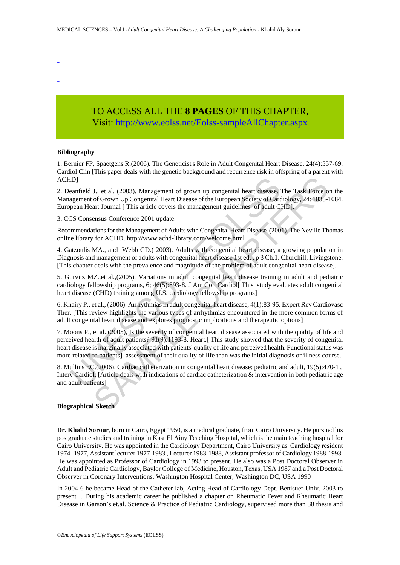- -
- -

## TO ACCESS ALL THE **8 PAGES** OF THIS CHAPTER, Visit[: http://www.eolss.net/Eolss-sampleAllChapter.aspx](https://www.eolss.net/ebooklib/sc_cart.aspx?File=E6-59-07-01)

#### **Bibliography**

1. Bernier FP, Spaetgens R.(2006). The Geneticist's Role in Adult Congenital Heart Disease, 24(4):557-69. Cardiol Clin [This paper deals with the genetic background and recurrence risk in offspring of a parent with ACHD]

2. Deanfield J., et al. (2003). Management of grown up congenital heart disease. The Task Force on the Management of Grown Up Congenital Heart Disease of the European Society of Cardiology, 24: 1035-1084. European Heart Journal [ This article covers the management guidelines of adult CHD].

3. CCS Consensus Conference 2001 update:

Recommendations for the Management of Adults with Congenital Heart Disease (2001). The Neville Thomas online library for ACHD. http://www.achd-library.com/welcome.html

4. Gatzoulis MA., and Webb GD.( 2003). Adults with congenital heart disease, a growing population in Diagnosis and management of adults with congenital heart disease 1st ed. , p 3 Ch.1. Churchill, Livingstone. [This chapter deals with the prevalence and magnitude of the problem of adult congenital heart disease].

5. Gurvitz MZ.,et al.,(2005). Variations in adult congenital heart disease training in adult and pediatric cardiology fellowship programs, 6; 46(5):893-8. J Am Coll Cardiol[ This study evaluates adult congenital heart disease (CHD) training among U.S. cardiology fellowship programs]

6. Khairy P., et al., (2006). Arrhythmias in adult congenital heart disease, 4(1):83-95. Expert Rev Cardiovasc Ther. [This review highlights the various types of arrhythmias encountered in the more common forms of adult congenital heart disease and explores prognostic implications and therapeutic options]

ID]<br>
anafield J., et al. (2003). Management of grown up congenital heart disease, regeneratiof Grown Up Congenital Heart Disease of the European Society of Card<br>
pean Heart Journal [ This article covers the management guid J., et al. (2003), Management of grown up congenital heart disease. The Task Force of Grown Up Congenital Heart Disease of the European Society of Cardiology, 24: 1035-<br>art Journal [ This article covers the management gui 7. Moons P., et al.,(2005), Is the severity of congenital heart disease associated with the quality of life and perceived health of adult patients? 91(9):1193-8. Heart.[ This study showed that the severity of congenital heart disease is marginally associated with patients' quality of life and perceived health. Functional status was more related to patients]. assessment of their quality of life than was the initial diagnosis or illness course.

8. Mullins EC.(2006). Cardiac catheterization in congenital heart disease: pediatric and adult, 19(5):470-1 J Interv Cardiol. [Article deals with indications of cardiac catheterization & intervention in both pediatric age and adult patients]

#### **Biographical Sketch**

**Dr. Khalid Sorour**, born in Cairo, Egypt 1950, is a medical graduate, from Cairo University. He pursued his postgraduate studies and training in Kasr El Ainy Teaching Hospital, which is the main teaching hospital for Cairo University. He was appointed in the Cardiology Department, Cairo University as Cardiology resident 1974- 1977, Assistant lecturer 1977-1983 , Lecturer 1983-1988, Assistant professor of Cardiology 1988-1993. He was appointed as Professor of Cardiology in 1993 to present. He also was a Post Doctoral Observer in Adult and Pediatric Cardiology, Baylor College of Medicine, Houston, Texas, USA 1987 and a Post Doctoral Observer in Coronary Interventions, Washington Hospital Center, Washington DC, USA 1990

In 2004-6 he became Head of the Catheter lab, Acting Head of Cardiology Dept. Benisuef Univ. 2003 to present . During his academic career he published a chapter on Rheumatic Fever and Rheumatic Heart Disease in Garson's et.al. Science & Practice of Pediatric Cardiology, supervised more than 30 thesis and